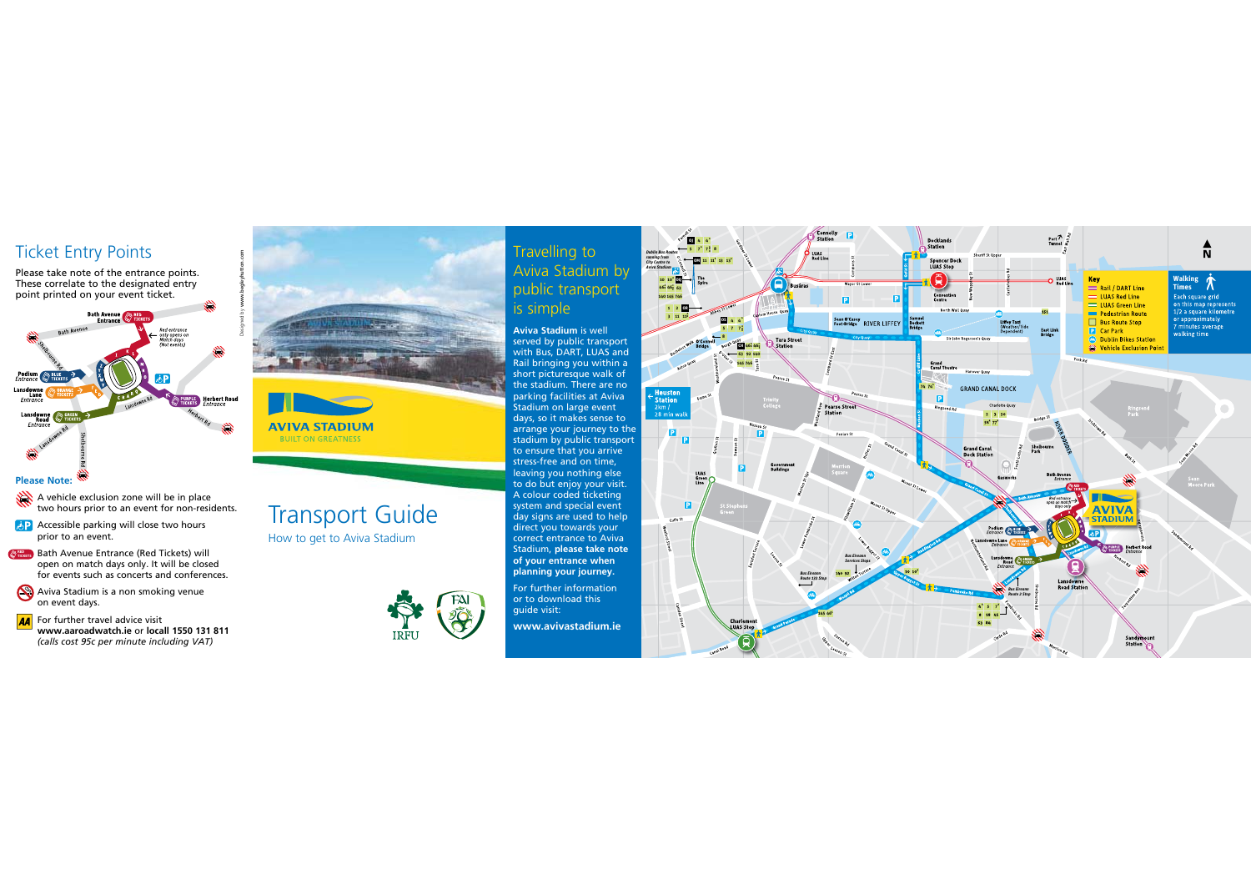## Ticket Entry Points

Please take note of the entrance points. These correlate to the designated entry point printed on your event ticket.



## **Please Note:**

A vehicle exclusion zone will be in place two hours prior to an event for non-residents.

- **AP** Accessible parking will close two hours prior to an event.
- **Bath Avenue Entrance (Red Tickets) will** open on match days only. It will be closed for events such as concerts and conferences.
- Aviva Stadium is a non smoking venue on event days.
- For further travel advice visit **www.aaroadwatch.ie** or **locall 1550 131 811**   *(calls cost 95c per minute including VAT)*

# **AVIVA STADIUM BUILT ON GREATNESS**

Transport Guide How to get to Aviva Stadium



Travelling to Aviva Stadium by public transport is simple

**Aviva Stadium** is well<br>served by public transport<br>with Bus, DART, LUAS and Rail bringing you within a short picturesque walk of the stadium. There are no parking facilities at Aviva Stadium on large event days, so it makes sense to arrange your journey to the stadium by public transport to ensure that you arrive stress-free and on time, leaving you nothing else to do but enjoy your visit. A colour coded ticketing system and special event day signs are used to help direct you towards your correct entrance to Aviva Stadium, **please take note of your entrance when planning your journey.** 

For further information or to download this guide visit:

**www.avivastadium.ie**